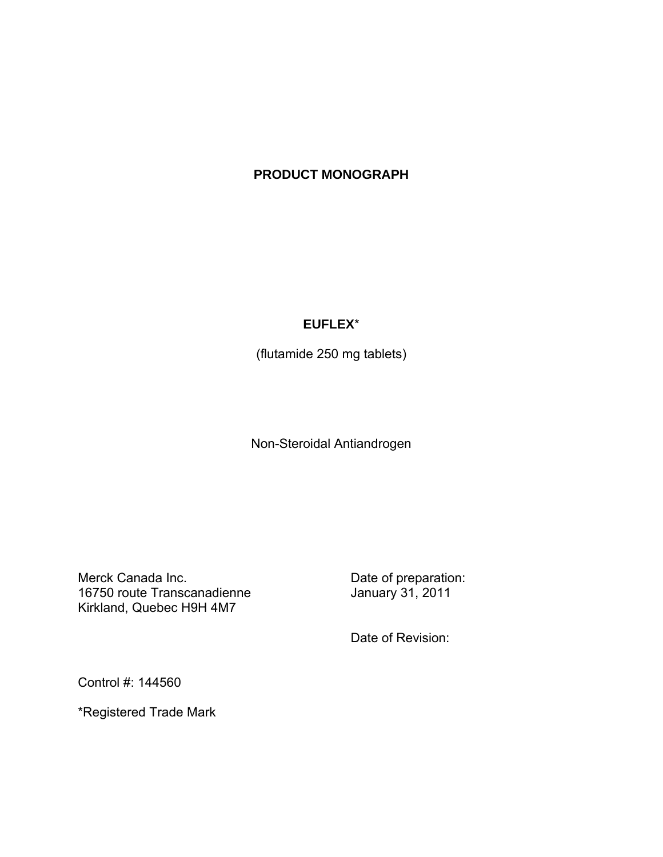# **PRODUCT MONOGRAPH**

## **EUFLEX**\*

(flutamide 250 mg tablets)

Non-Steroidal Antiandrogen

Merck Canada Inc.<br>16750 route Transcanadienne 16750 January 31, 2011 16750 route Transcanadienne Kirkland, Quebec H9H 4M7

Date of Revision:

Control #: 144560

\*Registered Trade Mark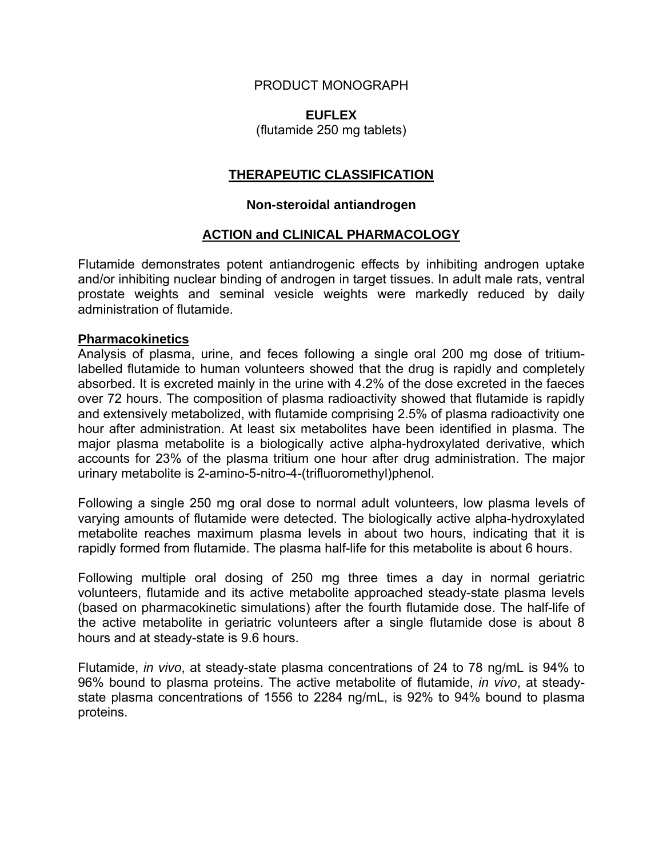## PRODUCT MONOGRAPH

## **EUFLEX**

(flutamide 250 mg tablets)

## **THERAPEUTIC CLASSIFICATION**

### **Non-steroidal antiandrogen**

### **ACTION and CLINICAL PHARMACOLOGY**

Flutamide demonstrates potent antiandrogenic effects by inhibiting androgen uptake and/or inhibiting nuclear binding of androgen in target tissues. In adult male rats, ventral prostate weights and seminal vesicle weights were markedly reduced by daily administration of flutamide.

### **Pharmacokinetics**

Analysis of plasma, urine, and feces following a single oral 200 mg dose of tritiumlabelled flutamide to human volunteers showed that the drug is rapidly and completely absorbed. It is excreted mainly in the urine with 4.2% of the dose excreted in the faeces over 72 hours. The composition of plasma radioactivity showed that flutamide is rapidly and extensively metabolized, with flutamide comprising 2.5% of plasma radioactivity one hour after administration. At least six metabolites have been identified in plasma. The major plasma metabolite is a biologically active alpha-hydroxylated derivative, which accounts for 23% of the plasma tritium one hour after drug administration. The major urinary metabolite is 2-amino-5-nitro-4-(trifluoromethyl)phenol.

Following a single 250 mg oral dose to normal adult volunteers, low plasma levels of varying amounts of flutamide were detected. The biologically active alpha-hydroxylated metabolite reaches maximum plasma levels in about two hours, indicating that it is rapidly formed from flutamide. The plasma half-life for this metabolite is about 6 hours.

Following multiple oral dosing of 250 mg three times a day in normal geriatric volunteers, flutamide and its active metabolite approached steady-state plasma levels (based on pharmacokinetic simulations) after the fourth flutamide dose. The half-life of the active metabolite in geriatric volunteers after a single flutamide dose is about 8 hours and at steady-state is 9.6 hours.

Flutamide, *in vivo*, at steady-state plasma concentrations of 24 to 78 ng/mL is 94% to 96% bound to plasma proteins. The active metabolite of flutamide, *in vivo*, at steadystate plasma concentrations of 1556 to 2284 ng/mL, is 92% to 94% bound to plasma proteins.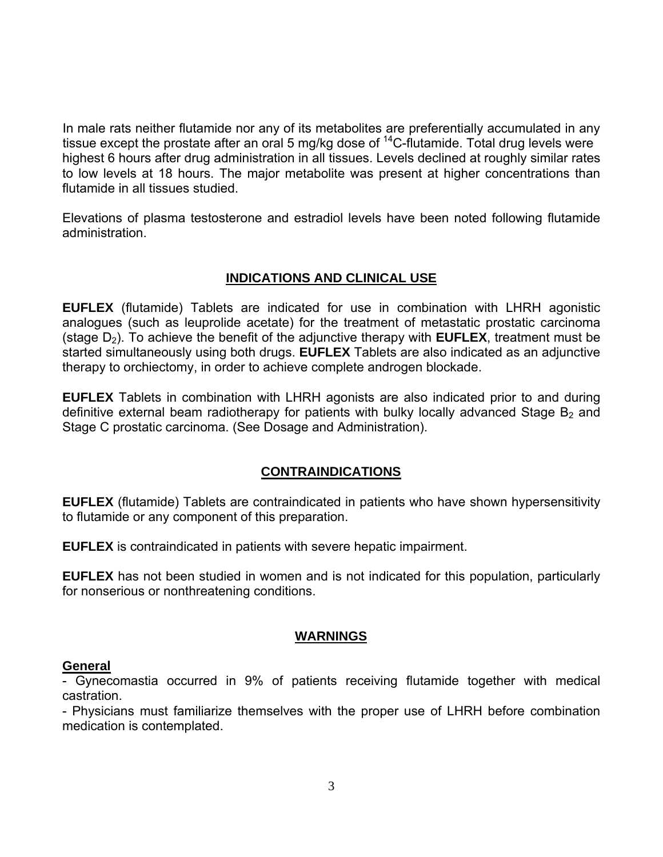In male rats neither flutamide nor any of its metabolites are preferentially accumulated in any tissue except the prostate after an oral 5 mg/kg dose of  $^{14}$ C-flutamide. Total drug levels were highest 6 hours after drug administration in all tissues. Levels declined at roughly similar rates to low levels at 18 hours. The major metabolite was present at higher concentrations than flutamide in all tissues studied.

Elevations of plasma testosterone and estradiol levels have been noted following flutamide administration.

## **INDICATIONS AND CLINICAL USE**

**EUFLEX** (flutamide) Tablets are indicated for use in combination with LHRH agonistic analogues (such as leuprolide acetate) for the treatment of metastatic prostatic carcinoma (stage  $D_2$ ). To achieve the benefit of the adjunctive therapy with **EUFLEX**, treatment must be started simultaneously using both drugs. **EUFLEX** Tablets are also indicated as an adjunctive therapy to orchiectomy, in order to achieve complete androgen blockade.

**EUFLEX** Tablets in combination with LHRH agonists are also indicated prior to and during definitive external beam radiotherapy for patients with bulky locally advanced Stage  $B<sub>2</sub>$  and Stage C prostatic carcinoma. (See Dosage and Administration).

## **CONTRAINDICATIONS**

**EUFLEX** (flutamide) Tablets are contraindicated in patients who have shown hypersensitivity to flutamide or any component of this preparation.

**EUFLEX** is contraindicated in patients with severe hepatic impairment.

**EUFLEX** has not been studied in women and is not indicated for this population, particularly for nonserious or nonthreatening conditions.

## **WARNINGS**

### **General**

- Gynecomastia occurred in 9% of patients receiving flutamide together with medical castration.

- Physicians must familiarize themselves with the proper use of LHRH before combination medication is contemplated.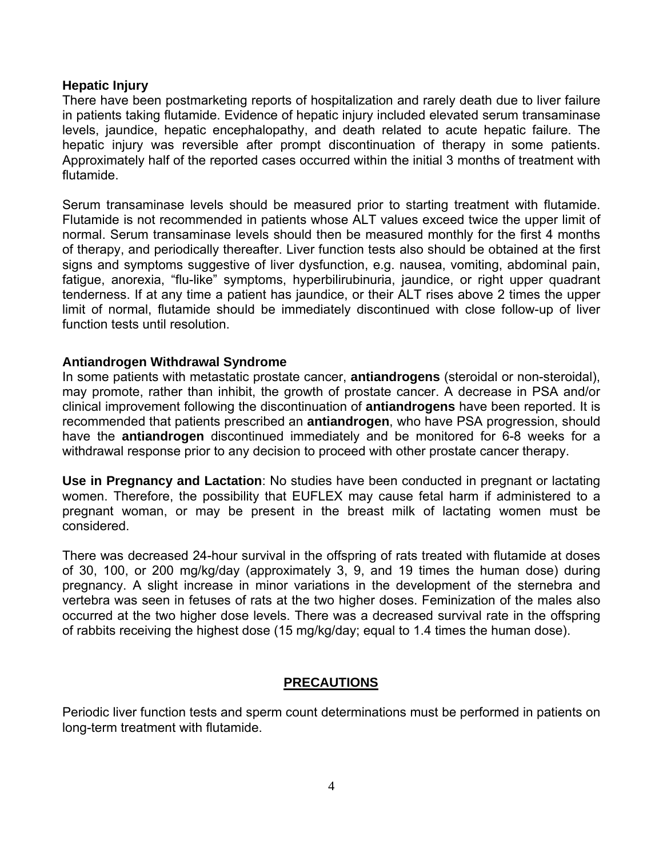### **Hepatic Injury**

There have been postmarketing reports of hospitalization and rarely death due to liver failure in patients taking flutamide. Evidence of hepatic injury included elevated serum transaminase levels, jaundice, hepatic encephalopathy, and death related to acute hepatic failure. The hepatic injury was reversible after prompt discontinuation of therapy in some patients. Approximately half of the reported cases occurred within the initial 3 months of treatment with flutamide.

Serum transaminase levels should be measured prior to starting treatment with flutamide. Flutamide is not recommended in patients whose ALT values exceed twice the upper limit of normal. Serum transaminase levels should then be measured monthly for the first 4 months of therapy, and periodically thereafter. Liver function tests also should be obtained at the first signs and symptoms suggestive of liver dysfunction, e.g. nausea, vomiting, abdominal pain, fatigue, anorexia, "flu-like" symptoms, hyperbilirubinuria, jaundice, or right upper quadrant tenderness. If at any time a patient has jaundice, or their ALT rises above 2 times the upper limit of normal, flutamide should be immediately discontinued with close follow-up of liver function tests until resolution.

### **Antiandrogen Withdrawal Syndrome**

In some patients with metastatic prostate cancer, **antiandrogens** (steroidal or non-steroidal), may promote, rather than inhibit, the growth of prostate cancer. A decrease in PSA and/or clinical improvement following the discontinuation of **antiandrogens** have been reported. It is recommended that patients prescribed an **antiandrogen**, who have PSA progression, should have the **antiandrogen** discontinued immediately and be monitored for 6-8 weeks for a withdrawal response prior to any decision to proceed with other prostate cancer therapy.

**Use in Pregnancy and Lactation**: No studies have been conducted in pregnant or lactating women. Therefore, the possibility that EUFLEX may cause fetal harm if administered to a pregnant woman, or may be present in the breast milk of lactating women must be considered.

There was decreased 24-hour survival in the offspring of rats treated with flutamide at doses of 30, 100, or 200 mg/kg/day (approximately 3, 9, and 19 times the human dose) during pregnancy. A slight increase in minor variations in the development of the sternebra and vertebra was seen in fetuses of rats at the two higher doses. Feminization of the males also occurred at the two higher dose levels. There was a decreased survival rate in the offspring of rabbits receiving the highest dose (15 mg/kg/day; equal to 1.4 times the human dose).

## **PRECAUTIONS**

Periodic liver function tests and sperm count determinations must be performed in patients on long-term treatment with flutamide.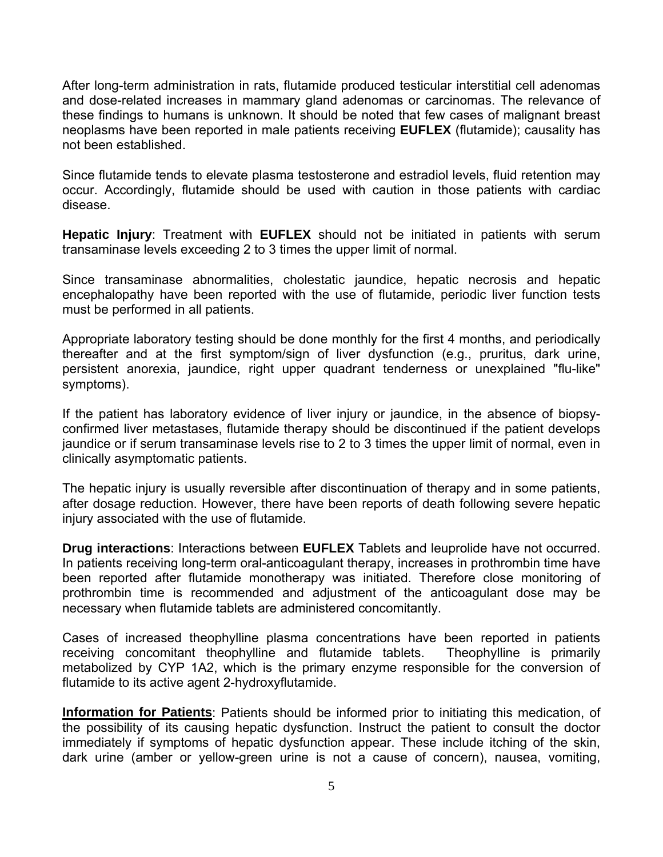After long-term administration in rats, flutamide produced testicular interstitial cell adenomas and dose-related increases in mammary gland adenomas or carcinomas. The relevance of these findings to humans is unknown. It should be noted that few cases of malignant breast neoplasms have been reported in male patients receiving **EUFLEX** (flutamide); causality has not been established.

Since flutamide tends to elevate plasma testosterone and estradiol levels, fluid retention may occur. Accordingly, flutamide should be used with caution in those patients with cardiac disease.

**Hepatic Injury**: Treatment with **EUFLEX** should not be initiated in patients with serum transaminase levels exceeding 2 to 3 times the upper limit of normal.

Since transaminase abnormalities, cholestatic jaundice, hepatic necrosis and hepatic encephalopathy have been reported with the use of flutamide, periodic liver function tests must be performed in all patients.

Appropriate laboratory testing should be done monthly for the first 4 months, and periodically thereafter and at the first symptom/sign of liver dysfunction (e.g., pruritus, dark urine, persistent anorexia, jaundice, right upper quadrant tenderness or unexplained "flu-like" symptoms).

If the patient has laboratory evidence of liver injury or jaundice, in the absence of biopsyconfirmed liver metastases, flutamide therapy should be discontinued if the patient develops jaundice or if serum transaminase levels rise to 2 to 3 times the upper limit of normal, even in clinically asymptomatic patients.

The hepatic injury is usually reversible after discontinuation of therapy and in some patients, after dosage reduction. However, there have been reports of death following severe hepatic injury associated with the use of flutamide.

**Drug interactions**: Interactions between **EUFLEX** Tablets and leuprolide have not occurred. In patients receiving long-term oral-anticoagulant therapy, increases in prothrombin time have been reported after flutamide monotherapy was initiated. Therefore close monitoring of prothrombin time is recommended and adjustment of the anticoagulant dose may be necessary when flutamide tablets are administered concomitantly.

Cases of increased theophylline plasma concentrations have been reported in patients receiving concomitant theophylline and flutamide tablets. Theophylline is primarily metabolized by CYP 1A2, which is the primary enzyme responsible for the conversion of flutamide to its active agent 2-hydroxyflutamide.

**Information for Patients**: Patients should be informed prior to initiating this medication, of the possibility of its causing hepatic dysfunction. Instruct the patient to consult the doctor immediately if symptoms of hepatic dysfunction appear. These include itching of the skin, dark urine (amber or yellow-green urine is not a cause of concern), nausea, vomiting,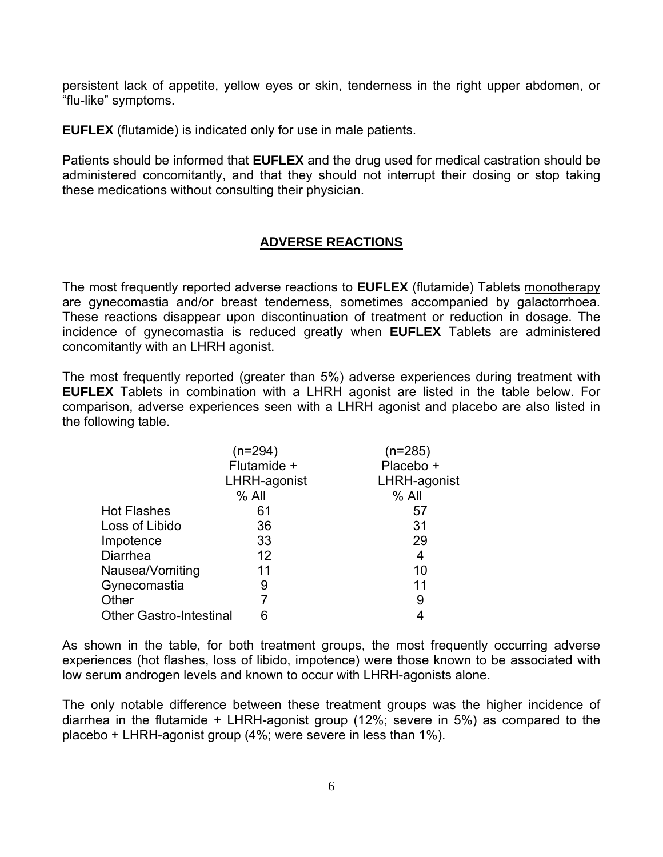persistent lack of appetite, yellow eyes or skin, tenderness in the right upper abdomen, or "flu-like" symptoms.

**EUFLEX** (flutamide) is indicated only for use in male patients.

Patients should be informed that **EUFLEX** and the drug used for medical castration should be administered concomitantly, and that they should not interrupt their dosing or stop taking these medications without consulting their physician.

## **ADVERSE REACTIONS**

The most frequently reported adverse reactions to **EUFLEX** (flutamide) Tablets monotherapy are gynecomastia and/or breast tenderness, sometimes accompanied by galactorrhoea. These reactions disappear upon discontinuation of treatment or reduction in dosage. The incidence of gynecomastia is reduced greatly when **EUFLEX** Tablets are administered concomitantly with an LHRH agonist.

The most frequently reported (greater than 5%) adverse experiences during treatment with **EUFLEX** Tablets in combination with a LHRH agonist are listed in the table below. For comparison, adverse experiences seen with a LHRH agonist and placebo are also listed in the following table.

|                                | (n=294)      | $(n=285)$    |
|--------------------------------|--------------|--------------|
|                                | Flutamide +  | Placebo +    |
|                                | LHRH-agonist | LHRH-agonist |
|                                | $%$ All      | $%$ All      |
| <b>Hot Flashes</b>             | 61           | 57           |
| Loss of Libido                 | 36           | 31           |
| Impotence                      | 33           | 29           |
| <b>Diarrhea</b>                | 12           | 4            |
| Nausea/Vomiting                | 11           | 10           |
| Gynecomastia                   | 9            | 11           |
| Other                          |              | 9            |
| <b>Other Gastro-Intestinal</b> |              |              |

As shown in the table, for both treatment groups, the most frequently occurring adverse experiences (hot flashes, loss of libido, impotence) were those known to be associated with low serum androgen levels and known to occur with LHRH-agonists alone.

The only notable difference between these treatment groups was the higher incidence of diarrhea in the flutamide + LHRH-agonist group (12%; severe in 5%) as compared to the placebo + LHRH-agonist group (4%; were severe in less than 1%).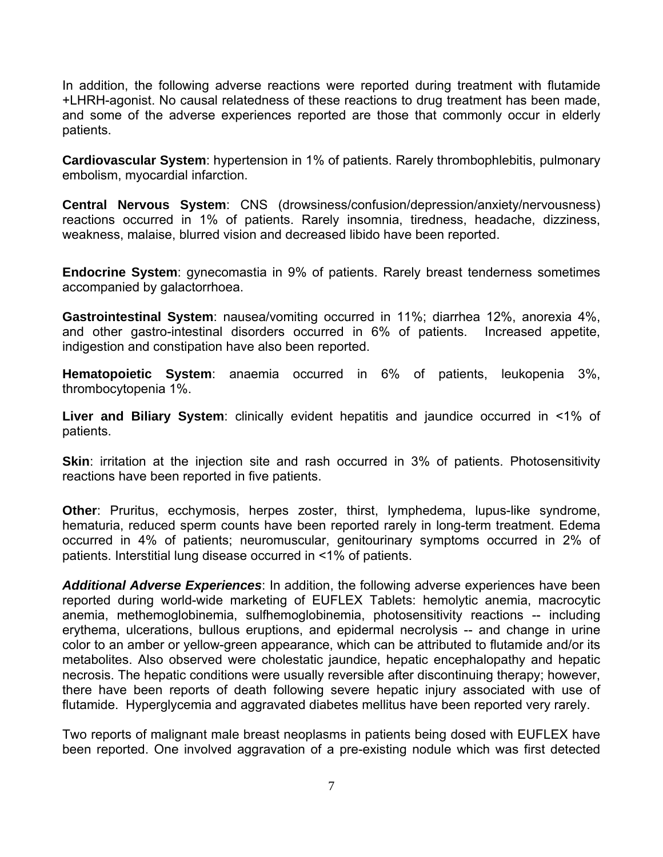In addition, the following adverse reactions were reported during treatment with flutamide +LHRH-agonist. No causal relatedness of these reactions to drug treatment has been made, and some of the adverse experiences reported are those that commonly occur in elderly patients.

**Cardiovascular System**: hypertension in 1% of patients. Rarely thrombophlebitis, pulmonary embolism, myocardial infarction.

**Central Nervous System**: CNS (drowsiness/confusion/depression/anxiety/nervousness) reactions occurred in 1% of patients. Rarely insomnia, tiredness, headache, dizziness, weakness, malaise, blurred vision and decreased libido have been reported.

**Endocrine System**: gynecomastia in 9% of patients. Rarely breast tenderness sometimes accompanied by galactorrhoea.

**Gastrointestinal System**: nausea/vomiting occurred in 11%; diarrhea 12%, anorexia 4%, and other gastro-intestinal disorders occurred in 6% of patients. Increased appetite, indigestion and constipation have also been reported.

**Hematopoietic System**: anaemia occurred in 6% of patients, leukopenia 3%, thrombocytopenia 1%.

**Liver and Biliary System**: clinically evident hepatitis and jaundice occurred in <1% of patients.

**Skin:** irritation at the injection site and rash occurred in 3% of patients. Photosensitivity reactions have been reported in five patients.

**Other**: Pruritus, ecchymosis, herpes zoster, thirst, lymphedema, lupus-like syndrome, hematuria, reduced sperm counts have been reported rarely in long-term treatment. Edema occurred in 4% of patients; neuromuscular, genitourinary symptoms occurred in 2% of patients. Interstitial lung disease occurred in <1% of patients.

*Additional Adverse Experiences*: In addition, the following adverse experiences have been reported during world-wide marketing of EUFLEX Tablets: hemolytic anemia, macrocytic anemia, methemoglobinemia, sulfhemoglobinemia, photosensitivity reactions -- including erythema, ulcerations, bullous eruptions, and epidermal necrolysis -- and change in urine color to an amber or yellow-green appearance, which can be attributed to flutamide and/or its metabolites. Also observed were cholestatic jaundice, hepatic encephalopathy and hepatic necrosis. The hepatic conditions were usually reversible after discontinuing therapy; however, there have been reports of death following severe hepatic injury associated with use of flutamide. Hyperglycemia and aggravated diabetes mellitus have been reported very rarely.

Two reports of malignant male breast neoplasms in patients being dosed with EUFLEX have been reported. One involved aggravation of a pre-existing nodule which was first detected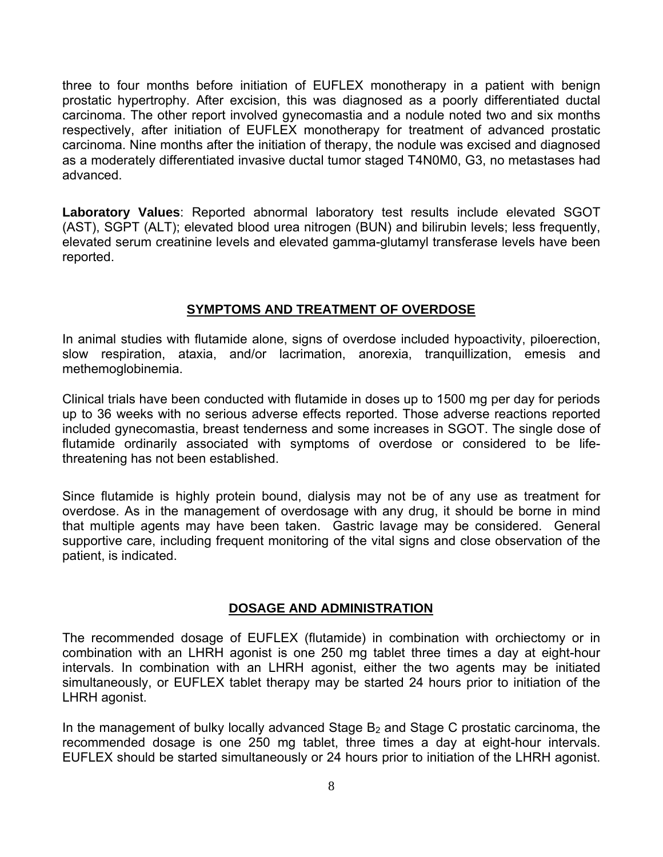three to four months before initiation of EUFLEX monotherapy in a patient with benign prostatic hypertrophy. After excision, this was diagnosed as a poorly differentiated ductal carcinoma. The other report involved gynecomastia and a nodule noted two and six months respectively, after initiation of EUFLEX monotherapy for treatment of advanced prostatic carcinoma. Nine months after the initiation of therapy, the nodule was excised and diagnosed as a moderately differentiated invasive ductal tumor staged T4N0M0, G3, no metastases had advanced.

**Laboratory Values**: Reported abnormal laboratory test results include elevated SGOT (AST), SGPT (ALT); elevated blood urea nitrogen (BUN) and bilirubin levels; less frequently, elevated serum creatinine levels and elevated gamma-glutamyl transferase levels have been reported.

## **SYMPTOMS AND TREATMENT OF OVERDOSE**

In animal studies with flutamide alone, signs of overdose included hypoactivity, piloerection, slow respiration, ataxia, and/or lacrimation, anorexia, tranquillization, emesis and methemoglobinemia.

Clinical trials have been conducted with flutamide in doses up to 1500 mg per day for periods up to 36 weeks with no serious adverse effects reported. Those adverse reactions reported included gynecomastia, breast tenderness and some increases in SGOT. The single dose of flutamide ordinarily associated with symptoms of overdose or considered to be lifethreatening has not been established.

Since flutamide is highly protein bound, dialysis may not be of any use as treatment for overdose. As in the management of overdosage with any drug, it should be borne in mind that multiple agents may have been taken. Gastric lavage may be considered. General supportive care, including frequent monitoring of the vital signs and close observation of the patient, is indicated.

### **DOSAGE AND ADMINISTRATION**

The recommended dosage of EUFLEX (flutamide) in combination with orchiectomy or in combination with an LHRH agonist is one 250 mg tablet three times a day at eight-hour intervals. In combination with an LHRH agonist, either the two agents may be initiated simultaneously, or EUFLEX tablet therapy may be started 24 hours prior to initiation of the LHRH agonist.

In the management of bulky locally advanced Stage  $B<sub>2</sub>$  and Stage C prostatic carcinoma, the recommended dosage is one 250 mg tablet, three times a day at eight-hour intervals. EUFLEX should be started simultaneously or 24 hours prior to initiation of the LHRH agonist.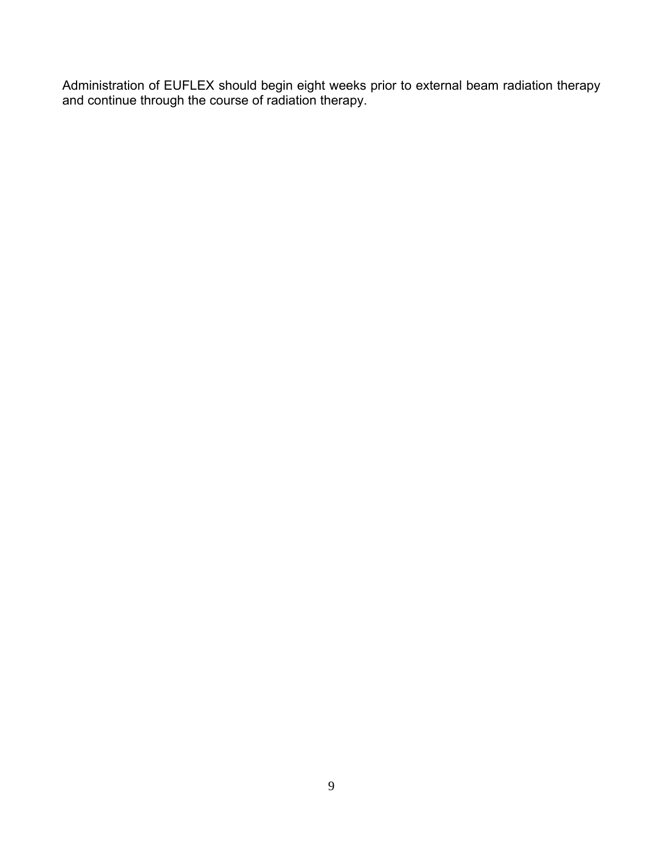Administration of EUFLEX should begin eight weeks prior to external beam radiation therapy and continue through the course of radiation therapy.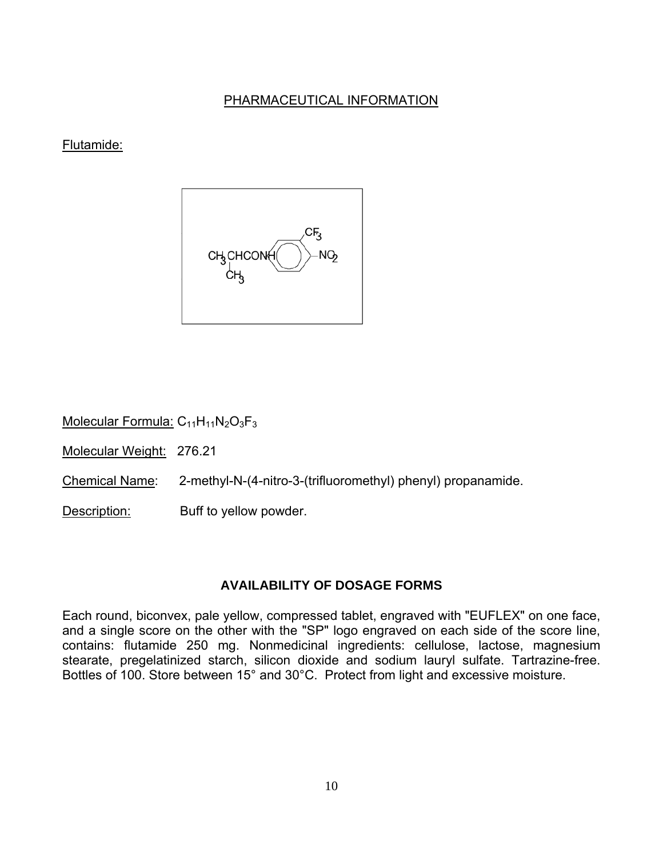## PHARMACEUTICAL INFORMATION

## Flutamide:



Molecular Formula:  $C_{11}H_{11}N_2O_3F_3$ 

Molecular Weight: 276.21

Chemical Name: 2-methyl-N-(4-nitro-3-(trifluoromethyl) phenyl) propanamide.

Description: Buff to yellow powder.

## **AVAILABILITY OF DOSAGE FORMS**

Each round, biconvex, pale yellow, compressed tablet, engraved with "EUFLEX" on one face, and a single score on the other with the "SP" logo engraved on each side of the score line, contains: flutamide 250 mg. Nonmedicinal ingredients: cellulose, lactose, magnesium stearate, pregelatinized starch, silicon dioxide and sodium lauryl sulfate. Tartrazine-free. Bottles of 100. Store between 15° and 30°C. Protect from light and excessive moisture.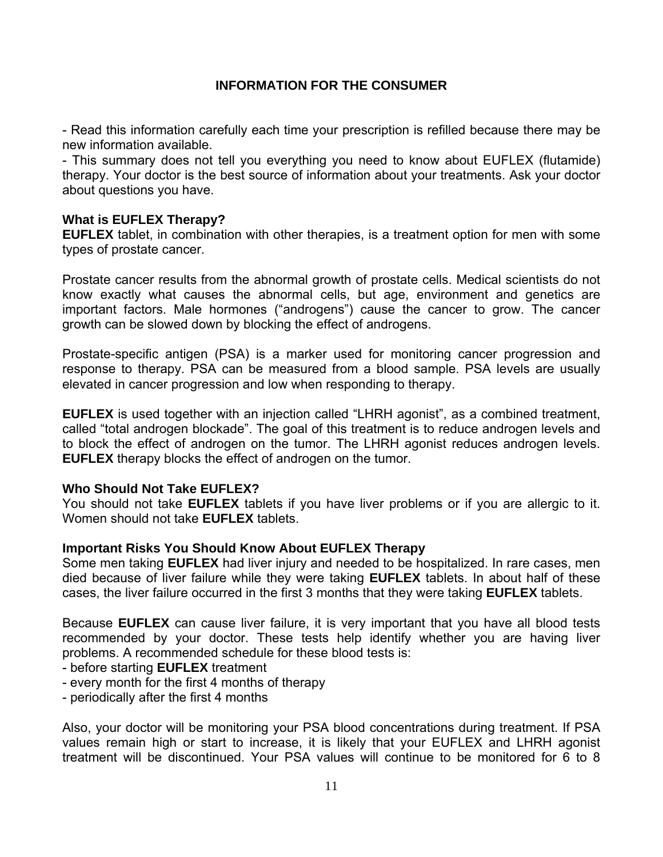## **INFORMATION FOR THE CONSUMER**

- Read this information carefully each time your prescription is refilled because there may be new information available.

- This summary does not tell you everything you need to know about EUFLEX (flutamide) therapy. Your doctor is the best source of information about your treatments. Ask your doctor about questions you have.

## **What is EUFLEX Therapy?**

**EUFLEX** tablet, in combination with other therapies, is a treatment option for men with some types of prostate cancer.

Prostate cancer results from the abnormal growth of prostate cells. Medical scientists do not know exactly what causes the abnormal cells, but age, environment and genetics are important factors. Male hormones ("androgens") cause the cancer to grow. The cancer growth can be slowed down by blocking the effect of androgens.

Prostate-specific antigen (PSA) is a marker used for monitoring cancer progression and response to therapy. PSA can be measured from a blood sample. PSA levels are usually elevated in cancer progression and low when responding to therapy.

**EUFLEX** is used together with an injection called "LHRH agonist", as a combined treatment, called "total androgen blockade". The goal of this treatment is to reduce androgen levels and to block the effect of androgen on the tumor. The LHRH agonist reduces androgen levels. **EUFLEX** therapy blocks the effect of androgen on the tumor.

## **Who Should Not Take EUFLEX?**

You should not take **EUFLEX** tablets if you have liver problems or if you are allergic to it. Women should not take **EUFLEX** tablets.

## **Important Risks You Should Know About EUFLEX Therapy**

Some men taking **EUFLEX** had liver injury and needed to be hospitalized. In rare cases, men died because of liver failure while they were taking **EUFLEX** tablets. In about half of these cases, the liver failure occurred in the first 3 months that they were taking **EUFLEX** tablets.

Because **EUFLEX** can cause liver failure, it is very important that you have all blood tests recommended by your doctor. These tests help identify whether you are having liver problems. A recommended schedule for these blood tests is:

- before starting **EUFLEX** treatment
- every month for the first 4 months of therapy
- periodically after the first 4 months

Also, your doctor will be monitoring your PSA blood concentrations during treatment. If PSA values remain high or start to increase, it is likely that your EUFLEX and LHRH agonist treatment will be discontinued. Your PSA values will continue to be monitored for 6 to 8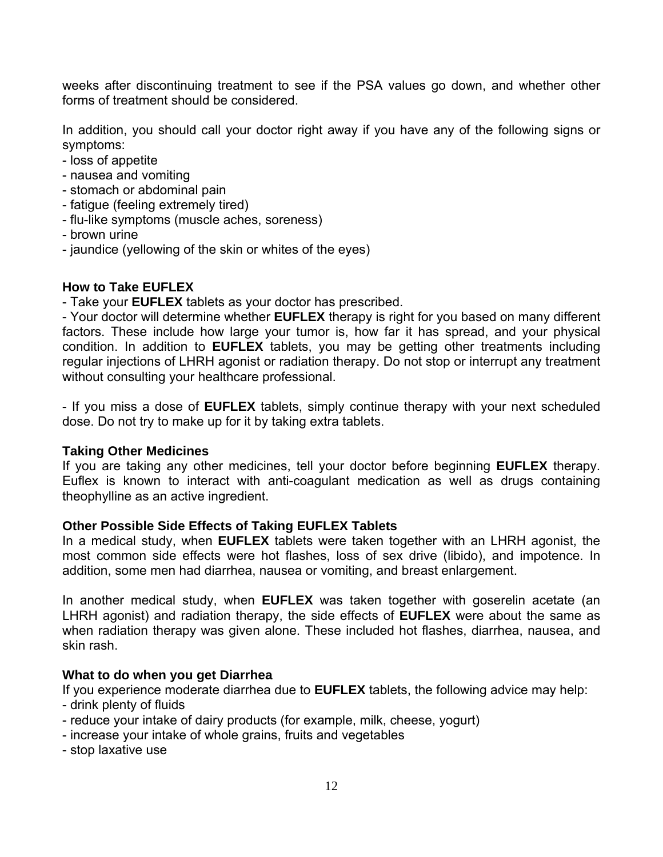weeks after discontinuing treatment to see if the PSA values go down, and whether other forms of treatment should be considered.

In addition, you should call your doctor right away if you have any of the following signs or symptoms:

- loss of appetite
- nausea and vomiting
- stomach or abdominal pain
- fatigue (feeling extremely tired)
- flu-like symptoms (muscle aches, soreness)
- brown urine
- jaundice (yellowing of the skin or whites of the eyes)

### **How to Take EUFLEX**

- Take your **EUFLEX** tablets as your doctor has prescribed.

- Your doctor will determine whether **EUFLEX** therapy is right for you based on many different factors. These include how large your tumor is, how far it has spread, and your physical condition. In addition to **EUFLEX** tablets, you may be getting other treatments including regular injections of LHRH agonist or radiation therapy. Do not stop or interrupt any treatment without consulting your healthcare professional.

- If you miss a dose of **EUFLEX** tablets, simply continue therapy with your next scheduled dose. Do not try to make up for it by taking extra tablets.

### **Taking Other Medicines**

If you are taking any other medicines, tell your doctor before beginning **EUFLEX** therapy. Euflex is known to interact with anti-coagulant medication as well as drugs containing theophylline as an active ingredient.

### **Other Possible Side Effects of Taking EUFLEX Tablets**

In a medical study, when **EUFLEX** tablets were taken together with an LHRH agonist, the most common side effects were hot flashes, loss of sex drive (libido), and impotence. In addition, some men had diarrhea, nausea or vomiting, and breast enlargement.

In another medical study, when **EUFLEX** was taken together with goserelin acetate (an LHRH agonist) and radiation therapy, the side effects of **EUFLEX** were about the same as when radiation therapy was given alone. These included hot flashes, diarrhea, nausea, and skin rash.

## **What to do when you get Diarrhea**

If you experience moderate diarrhea due to **EUFLEX** tablets, the following advice may help:

- drink plenty of fluids
- reduce your intake of dairy products (for example, milk, cheese, yogurt)
- increase your intake of whole grains, fruits and vegetables
- stop laxative use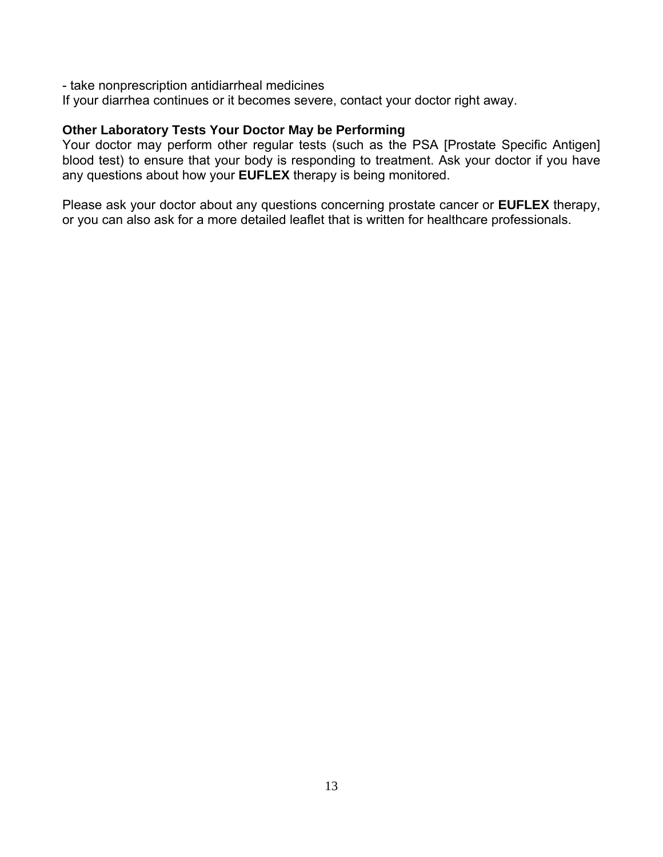- take nonprescription antidiarrheal medicines

If your diarrhea continues or it becomes severe, contact your doctor right away.

### **Other Laboratory Tests Your Doctor May be Performing**

Your doctor may perform other regular tests (such as the PSA [Prostate Specific Antigen] blood test) to ensure that your body is responding to treatment. Ask your doctor if you have any questions about how your **EUFLEX** therapy is being monitored.

Please ask your doctor about any questions concerning prostate cancer or **EUFLEX** therapy, or you can also ask for a more detailed leaflet that is written for healthcare professionals.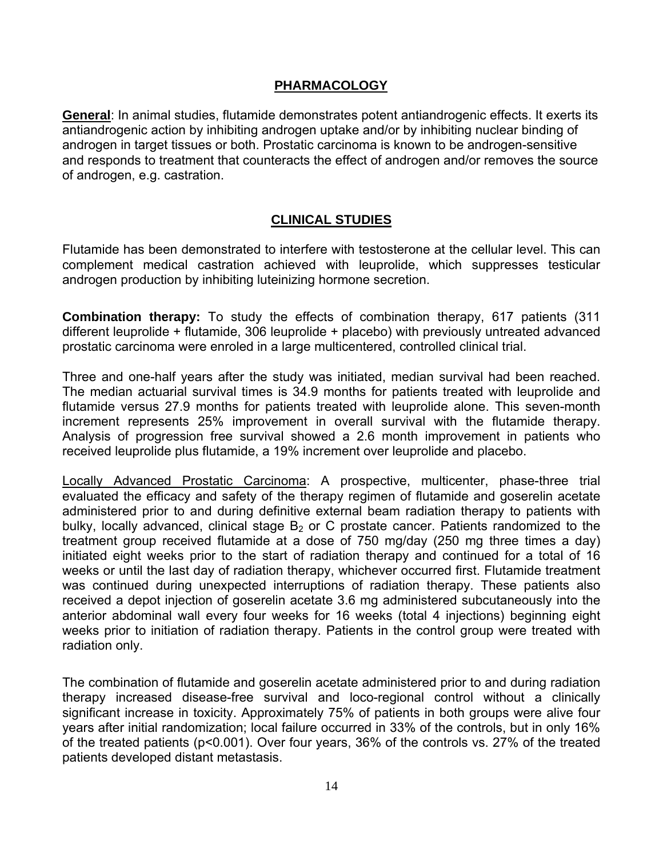## **PHARMACOLOGY**

**General**: In animal studies, flutamide demonstrates potent antiandrogenic effects. It exerts its antiandrogenic action by inhibiting androgen uptake and/or by inhibiting nuclear binding of androgen in target tissues or both. Prostatic carcinoma is known to be androgen-sensitive and responds to treatment that counteracts the effect of androgen and/or removes the source of androgen, e.g. castration.

## **CLINICAL STUDIES**

Flutamide has been demonstrated to interfere with testosterone at the cellular level. This can complement medical castration achieved with leuprolide, which suppresses testicular androgen production by inhibiting luteinizing hormone secretion.

**Combination therapy:** To study the effects of combination therapy, 617 patients (311 different leuprolide + flutamide, 306 leuprolide + placebo) with previously untreated advanced prostatic carcinoma were enroled in a large multicentered, controlled clinical trial.

Three and one-half years after the study was initiated, median survival had been reached. The median actuarial survival times is 34.9 months for patients treated with leuprolide and flutamide versus 27.9 months for patients treated with leuprolide alone. This seven-month increment represents 25% improvement in overall survival with the flutamide therapy. Analysis of progression free survival showed a 2.6 month improvement in patients who received leuprolide plus flutamide, a 19% increment over leuprolide and placebo.

Locally Advanced Prostatic Carcinoma: A prospective, multicenter, phase-three trial evaluated the efficacy and safety of the therapy regimen of flutamide and goserelin acetate administered prior to and during definitive external beam radiation therapy to patients with bulky, locally advanced, clinical stage  $B_2$  or C prostate cancer. Patients randomized to the treatment group received flutamide at a dose of 750 mg/day (250 mg three times a day) initiated eight weeks prior to the start of radiation therapy and continued for a total of 16 weeks or until the last day of radiation therapy, whichever occurred first. Flutamide treatment was continued during unexpected interruptions of radiation therapy. These patients also received a depot injection of goserelin acetate 3.6 mg administered subcutaneously into the anterior abdominal wall every four weeks for 16 weeks (total 4 injections) beginning eight weeks prior to initiation of radiation therapy. Patients in the control group were treated with radiation only.

The combination of flutamide and goserelin acetate administered prior to and during radiation therapy increased disease-free survival and loco-regional control without a clinically significant increase in toxicity. Approximately 75% of patients in both groups were alive four years after initial randomization; local failure occurred in 33% of the controls, but in only 16% of the treated patients (p<0.001). Over four years, 36% of the controls vs. 27% of the treated patients developed distant metastasis.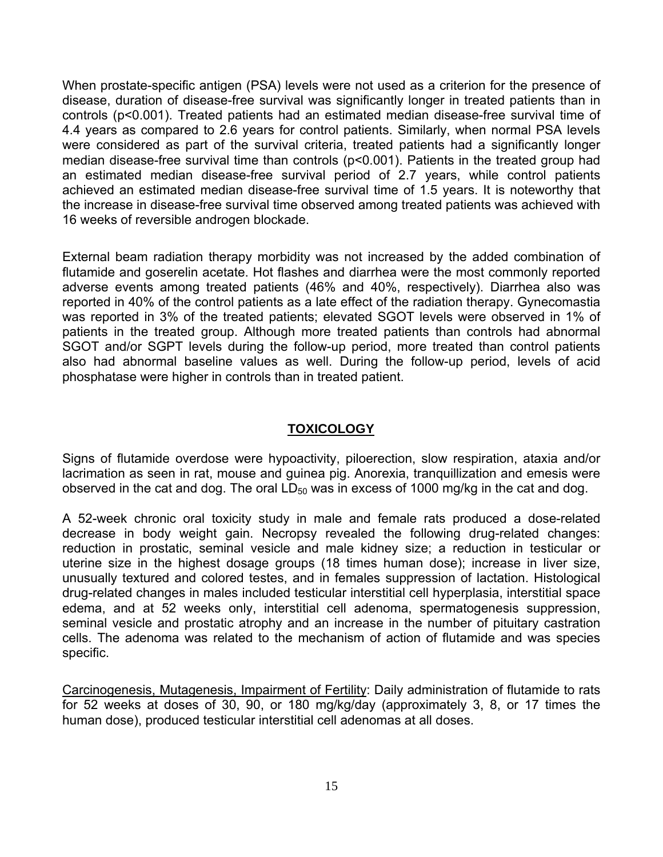When prostate-specific antigen (PSA) levels were not used as a criterion for the presence of disease, duration of disease-free survival was significantly longer in treated patients than in controls (p<0.001). Treated patients had an estimated median disease-free survival time of 4.4 years as compared to 2.6 years for control patients. Similarly, when normal PSA levels were considered as part of the survival criteria, treated patients had a significantly longer median disease-free survival time than controls (p<0.001). Patients in the treated group had an estimated median disease-free survival period of 2.7 years, while control patients achieved an estimated median disease-free survival time of 1.5 years. It is noteworthy that the increase in disease-free survival time observed among treated patients was achieved with 16 weeks of reversible androgen blockade.

External beam radiation therapy morbidity was not increased by the added combination of flutamide and goserelin acetate. Hot flashes and diarrhea were the most commonly reported adverse events among treated patients (46% and 40%, respectively). Diarrhea also was reported in 40% of the control patients as a late effect of the radiation therapy. Gynecomastia was reported in 3% of the treated patients; elevated SGOT levels were observed in 1% of patients in the treated group. Although more treated patients than controls had abnormal SGOT and/or SGPT levels during the follow-up period, more treated than control patients also had abnormal baseline values as well. During the follow-up period, levels of acid phosphatase were higher in controls than in treated patient.

## **TOXICOLOGY**

Signs of flutamide overdose were hypoactivity, piloerection, slow respiration, ataxia and/or lacrimation as seen in rat, mouse and guinea pig. Anorexia, tranquillization and emesis were observed in the cat and dog. The oral  $LD_{50}$  was in excess of 1000 mg/kg in the cat and dog.

A 52-week chronic oral toxicity study in male and female rats produced a dose-related decrease in body weight gain. Necropsy revealed the following drug-related changes: reduction in prostatic, seminal vesicle and male kidney size; a reduction in testicular or uterine size in the highest dosage groups (18 times human dose); increase in liver size, unusually textured and colored testes, and in females suppression of lactation. Histological drug-related changes in males included testicular interstitial cell hyperplasia, interstitial space edema, and at 52 weeks only, interstitial cell adenoma, spermatogenesis suppression, seminal vesicle and prostatic atrophy and an increase in the number of pituitary castration cells. The adenoma was related to the mechanism of action of flutamide and was species specific.

Carcinogenesis, Mutagenesis, Impairment of Fertility: Daily administration of flutamide to rats for 52 weeks at doses of 30, 90, or 180 mg/kg/day (approximately 3, 8, or 17 times the human dose), produced testicular interstitial cell adenomas at all doses.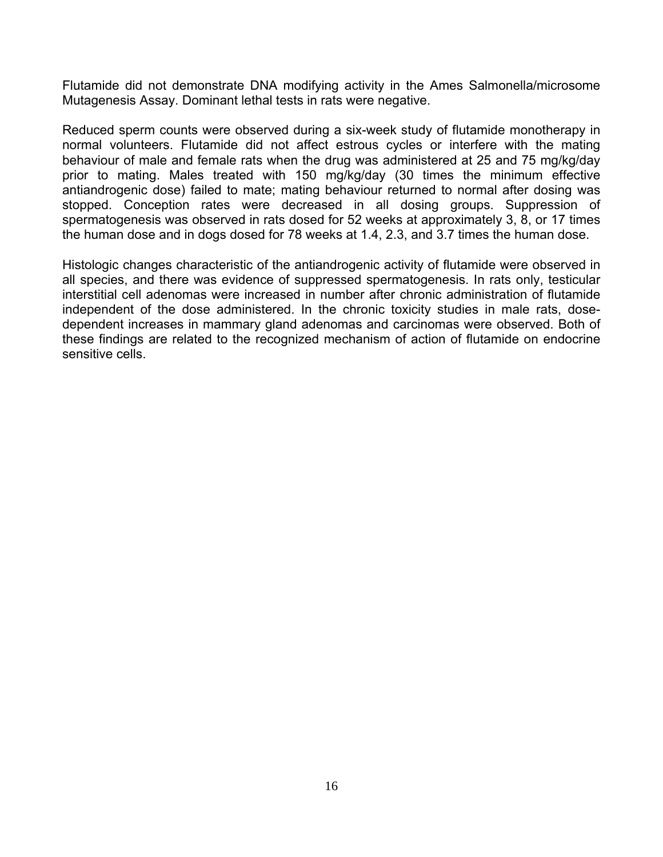Flutamide did not demonstrate DNA modifying activity in the Ames Salmonella/microsome Mutagenesis Assay. Dominant lethal tests in rats were negative.

Reduced sperm counts were observed during a six-week study of flutamide monotherapy in normal volunteers. Flutamide did not affect estrous cycles or interfere with the mating behaviour of male and female rats when the drug was administered at 25 and 75 mg/kg/day prior to mating. Males treated with 150 mg/kg/day (30 times the minimum effective antiandrogenic dose) failed to mate; mating behaviour returned to normal after dosing was stopped. Conception rates were decreased in all dosing groups. Suppression of spermatogenesis was observed in rats dosed for 52 weeks at approximately 3, 8, or 17 times the human dose and in dogs dosed for 78 weeks at 1.4, 2.3, and 3.7 times the human dose.

Histologic changes characteristic of the antiandrogenic activity of flutamide were observed in all species, and there was evidence of suppressed spermatogenesis. In rats only, testicular interstitial cell adenomas were increased in number after chronic administration of flutamide independent of the dose administered. In the chronic toxicity studies in male rats, dosedependent increases in mammary gland adenomas and carcinomas were observed. Both of these findings are related to the recognized mechanism of action of flutamide on endocrine sensitive cells.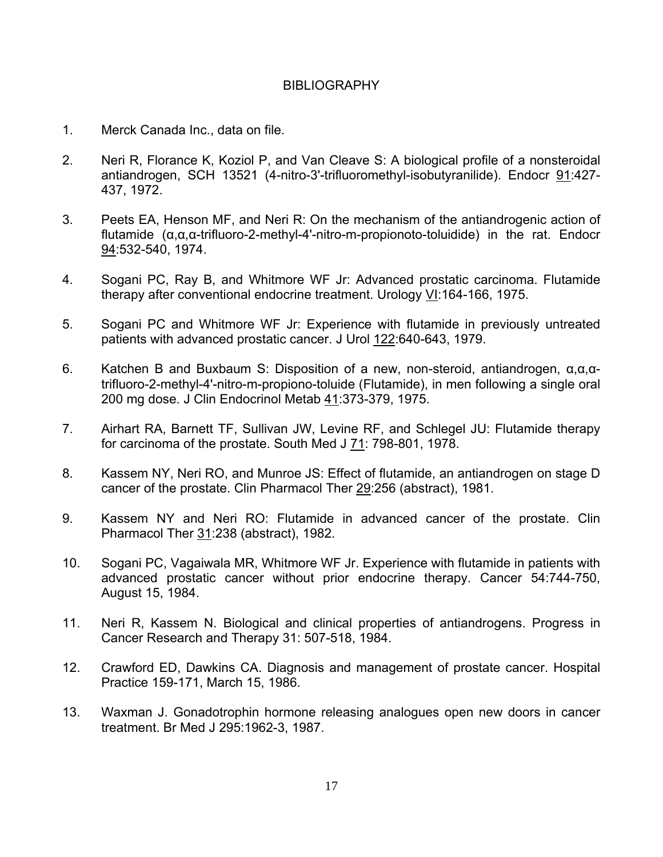### BIBLIOGRAPHY

- 1. Merck Canada Inc., data on file.
- 2. Neri R, Florance K, Koziol P, and Van Cleave S: A biological profile of a nonsteroidal antiandrogen, SCH 13521 (4-nitro-3'-trifluoromethyl-isobutyranilide). Endocr 91:427- 437, 1972.
- 3. Peets EA, Henson MF, and Neri R: On the mechanism of the antiandrogenic action of flutamide (α,α,α-trifluoro-2-methyl-4'-nitro-m-propionoto-toluidide) in the rat. Endocr 94:532-540, 1974.
- 4. Sogani PC, Ray B, and Whitmore WF Jr: Advanced prostatic carcinoma. Flutamide therapy after conventional endocrine treatment. Urology VI:164-166, 1975.
- 5. Sogani PC and Whitmore WF Jr: Experience with flutamide in previously untreated patients with advanced prostatic cancer. J Urol 122:640-643, 1979.
- 6. Katchen B and Buxbaum S: Disposition of a new, non-steroid, antiandrogen, α,α,αtrifluoro-2-methyl-4'-nitro-m-propiono-toluide (Flutamide), in men following a single oral 200 mg dose. J Clin Endocrinol Metab 41:373-379, 1975.
- 7. Airhart RA, Barnett TF, Sullivan JW, Levine RF, and Schlegel JU: Flutamide therapy for carcinoma of the prostate. South Med J 71: 798-801, 1978.
- 8. Kassem NY, Neri RO, and Munroe JS: Effect of flutamide, an antiandrogen on stage D cancer of the prostate. Clin Pharmacol Ther 29:256 (abstract), 1981.
- 9. Kassem NY and Neri RO: Flutamide in advanced cancer of the prostate. Clin Pharmacol Ther 31:238 (abstract), 1982.
- 10. Sogani PC, Vagaiwala MR, Whitmore WF Jr. Experience with flutamide in patients with advanced prostatic cancer without prior endocrine therapy. Cancer 54:744-750, August 15, 1984.
- 11. Neri R, Kassem N. Biological and clinical properties of antiandrogens. Progress in Cancer Research and Therapy 31: 507-518, 1984.
- 12. Crawford ED, Dawkins CA. Diagnosis and management of prostate cancer. Hospital Practice 159-171, March 15, 1986.
- 13. Waxman J. Gonadotrophin hormone releasing analogues open new doors in cancer treatment. Br Med J 295:1962-3, 1987.